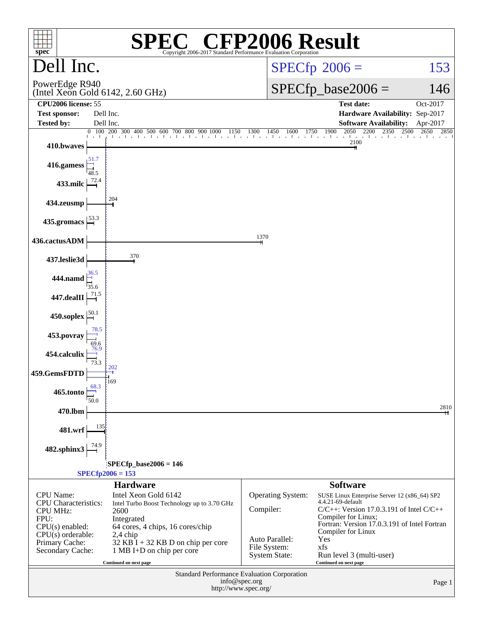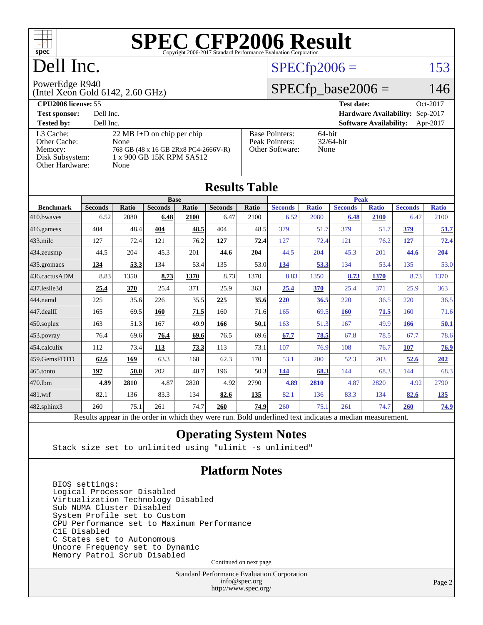

## Dell Inc.

## $SPECfp2006 = 153$  $SPECfp2006 = 153$

#### PowerEdge R940

(Intel Xeon Gold 6142, 2.60 GHz)

### $SPECfp\_base2006 = 146$

| <b>CPU2006 license: 55</b> |                                      |                       | <b>Test date:</b><br>Oct-2017             |
|----------------------------|--------------------------------------|-----------------------|-------------------------------------------|
| <b>Test sponsor:</b>       | Dell Inc.                            |                       | Hardware Availability: Sep-2017           |
| <b>Tested by:</b>          | Dell Inc.                            |                       | <b>Software Availability:</b><br>Apr-2017 |
| L3 Cache:                  | 22 MB I+D on chip per chip           | <b>Base Pointers:</b> | $64$ -bit                                 |
| Other Cache:               | None                                 | Peak Pointers:        | $32/64$ -bit                              |
| Memory:                    | 768 GB (48 x 16 GB 2Rx8 PC4-2666V-R) | Other Software:       | None                                      |
| Disk Subsystem:            | 1 x 900 GB 15K RPM SAS12             |                       |                                           |
| Other Hardware:            | None                                 |                       |                                           |

**[Results Table](http://www.spec.org/auto/cpu2006/Docs/result-fields.html#ResultsTable)**

| Results Tavic          |                                                                                                          |       |                |       |                |              |                |              |                |              |                |              |
|------------------------|----------------------------------------------------------------------------------------------------------|-------|----------------|-------|----------------|--------------|----------------|--------------|----------------|--------------|----------------|--------------|
|                        | <b>Base</b>                                                                                              |       |                |       |                | <b>Peak</b>  |                |              |                |              |                |              |
| <b>Benchmark</b>       | <b>Seconds</b>                                                                                           | Ratio | <b>Seconds</b> | Ratio | <b>Seconds</b> | <b>Ratio</b> | <b>Seconds</b> | <b>Ratio</b> | <b>Seconds</b> | <b>Ratio</b> | <b>Seconds</b> | <b>Ratio</b> |
| $ 410$ .bwaves         | 6.52                                                                                                     | 2080  | 6.48           | 2100  | 6.47           | 2100         | 6.52           | 2080         | 6.48           | 2100         | 6.47           | 2100         |
| 416.gamess             | 404                                                                                                      | 48.4  | 404            | 48.5  | 404            | 48.5         | 379            | 51.7         | 379            | 51.7         | 379            | 51.7         |
| $433$ .milc            | 127                                                                                                      | 72.4  | 121            | 76.2  | 127            | 72.4         | 127            | 72.4         | 121            | 76.2         | 127            | 72.4         |
| $434$ . zeusmp         | 44.5                                                                                                     | 204   | 45.3           | 201   | 44.6           | 204          | 44.5           | 204          | 45.3           | 201          | 44.6           | 204          |
| $435.$ gromacs         | 134                                                                                                      | 53.3  | 134            | 53.4  | 135            | 53.0         | 134            | 53.3         | 134            | 53.4         | 135            | 53.0         |
| 436.cactusADM          | 8.83                                                                                                     | 1350  | 8.73           | 1370  | 8.73           | 1370         | 8.83           | 1350         | 8.73           | 1370         | 8.73           | 1370         |
| 437.leslie3d           | 25.4                                                                                                     | 370   | 25.4           | 371   | 25.9           | 363          | 25.4           | 370          | 25.4           | 371          | 25.9           | 363          |
| 444.namd               | 225                                                                                                      | 35.6  | 226            | 35.5  | 225            | 35.6         | 220            | 36.5         | 220            | 36.5         | 220            | 36.5         |
| $ 447 \text{.}$ dealII | 165                                                                                                      | 69.5  | 160            | 71.5  | 160            | 71.6         | 165            | 69.5         | 160            | 71.5         | 160            | 71.6         |
| $450$ .soplex          | 163                                                                                                      | 51.3  | 167            | 49.9  | 166            | 50.1         | 163            | 51.3         | 167            | 49.9         | 166            | 50.1         |
| $453$ .povray          | 76.4                                                                                                     | 69.6  | 76.4           | 69.6  | 76.5           | 69.6         | 67.7           | 78.5         | 67.8           | 78.5         | 67.7           | 78.6         |
| $454$ .calculix        | 112                                                                                                      | 73.4  | 113            | 73.3  | 113            | 73.1         | 107            | 76.9         | 108            | 76.7         | 107            | 76.9         |
| 459.GemsFDTD           | 62.6                                                                                                     | 169   | 63.3           | 168   | 62.3           | 170          | 53.1           | 200          | 52.3           | 203          | 52.6           | 202          |
| $ 465$ .tonto          | 197                                                                                                      | 50.0  | 202            | 48.7  | 196            | 50.3         | 144            | 68.3         | 144            | 68.3         | 144            | 68.3         |
| 470.1bm                | 4.89                                                                                                     | 2810  | 4.87           | 2820  | 4.92           | 2790         | 4.89           | 2810         | 4.87           | 2820         | 4.92           | 2790         |
| 481.wrf                | 82.1                                                                                                     | 136   | 83.3           | 134   | 82.6           | 135          | 82.1           | 136          | 83.3           | 134          | 82.6           | <u>135</u>   |
| 482.sphinx3            | 260                                                                                                      | 75.1  | 261            | 74.7  | 260            | 74.9         | 260            | 75.1         | 261            | 74.7         | <b>260</b>     | 74.9         |
|                        | Results appear in the order in which they were run. Bold underlined text indicates a median measurement. |       |                |       |                |              |                |              |                |              |                |              |

### **[Operating System Notes](http://www.spec.org/auto/cpu2006/Docs/result-fields.html#OperatingSystemNotes)**

Stack size set to unlimited using "ulimit -s unlimited"

### **[Platform Notes](http://www.spec.org/auto/cpu2006/Docs/result-fields.html#PlatformNotes)**

 BIOS settings: Logical Processor Disabled Virtualization Technology Disabled Sub NUMA Cluster Disabled System Profile set to Custom CPU Performance set to Maximum Performance C1E Disabled C States set to Autonomous Uncore Frequency set to Dynamic Memory Patrol Scrub Disabled

Continued on next page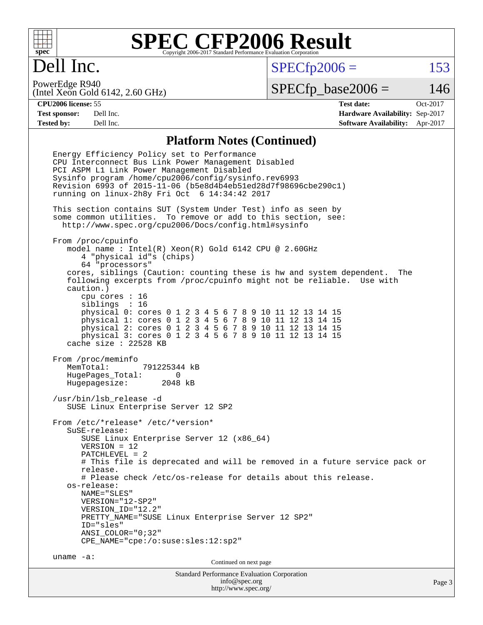

## Dell Inc.

 $SPECTp2006 = 153$ 

(Intel Xeon Gold 6142, 2.60 GHz) PowerEdge R940

 $SPECTp\_base2006 = 146$ 

**[CPU2006 license:](http://www.spec.org/auto/cpu2006/Docs/result-fields.html#CPU2006license)** 55 **[Test date:](http://www.spec.org/auto/cpu2006/Docs/result-fields.html#Testdate)** Oct-2017 **[Test sponsor:](http://www.spec.org/auto/cpu2006/Docs/result-fields.html#Testsponsor)** Dell Inc. **[Hardware Availability:](http://www.spec.org/auto/cpu2006/Docs/result-fields.html#HardwareAvailability)** Sep-2017 **[Tested by:](http://www.spec.org/auto/cpu2006/Docs/result-fields.html#Testedby)** Dell Inc. **[Software Availability:](http://www.spec.org/auto/cpu2006/Docs/result-fields.html#SoftwareAvailability)** Apr-2017

### **[Platform Notes \(Continued\)](http://www.spec.org/auto/cpu2006/Docs/result-fields.html#PlatformNotes)**

Standard Performance Evaluation Corporation [info@spec.org](mailto:info@spec.org) Page 3 Energy Efficiency Policy set to Performance CPU Interconnect Bus Link Power Management Disabled PCI ASPM L1 Link Power Management Disabled Sysinfo program /home/cpu2006/config/sysinfo.rev6993 Revision 6993 of 2015-11-06 (b5e8d4b4eb51ed28d7f98696cbe290c1) running on linux-2h8y Fri Oct 6 14:34:42 2017 This section contains SUT (System Under Test) info as seen by some common utilities. To remove or add to this section, see: <http://www.spec.org/cpu2006/Docs/config.html#sysinfo> From /proc/cpuinfo model name : Intel(R) Xeon(R) Gold 6142 CPU @ 2.60GHz 4 "physical id"s (chips) 64 "processors" cores, siblings (Caution: counting these is hw and system dependent. The following excerpts from /proc/cpuinfo might not be reliable. Use with caution.) cpu cores : 16 siblings : 16 physical 0: cores 0 1 2 3 4 5 6 7 8 9 10 11 12 13 14 15 physical 1: cores 0 1 2 3 4 5 6 7 8 9 10 11 12 13 14 15 physical 2: cores 0 1 2 3 4 5 6 7 8 9 10 11 12 13 14 15 physical 3: cores 0 1 2 3 4 5 6 7 8 9 10 11 12 13 14 15 cache size : 22528 KB From /proc/meminfo MemTotal: 791225344 kB HugePages\_Total: 0 Hugepagesize: 2048 kB /usr/bin/lsb\_release -d SUSE Linux Enterprise Server 12 SP2 From /etc/\*release\* /etc/\*version\* SuSE-release: SUSE Linux Enterprise Server 12 (x86\_64) VERSION = 12 PATCHLEVEL = 2 # This file is deprecated and will be removed in a future service pack or release. # Please check /etc/os-release for details about this release. os-release: NAME="SLES" VERSION="12-SP2" VERSION\_ID="12.2" PRETTY\_NAME="SUSE Linux Enterprise Server 12 SP2" ID="sles" ANSI\_COLOR="0;32" CPE\_NAME="cpe:/o:suse:sles:12:sp2" uname -a: Continued on next page

<http://www.spec.org/>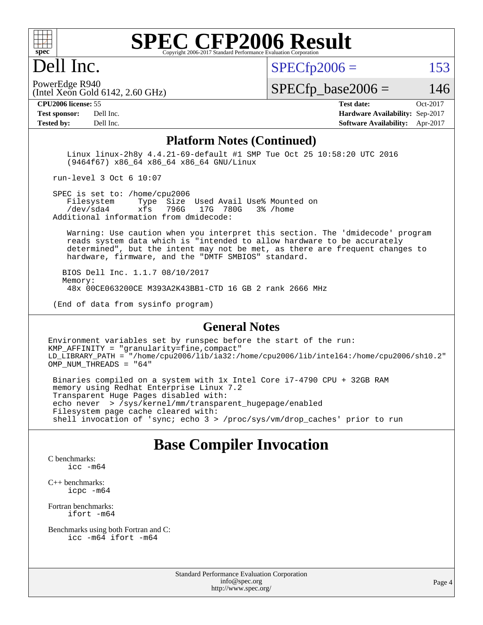

## Dell Inc.

 $SPECTp2006 = 153$ 

(Intel Xeon Gold  $6142$ ,  $2.60$  GHz) PowerEdge R940

 $SPECTp\_base2006 = 146$ 

**[Tested by:](http://www.spec.org/auto/cpu2006/Docs/result-fields.html#Testedby)** Dell Inc. **[Software Availability:](http://www.spec.org/auto/cpu2006/Docs/result-fields.html#SoftwareAvailability)** Apr-2017

**[CPU2006 license:](http://www.spec.org/auto/cpu2006/Docs/result-fields.html#CPU2006license)** 55 **[Test date:](http://www.spec.org/auto/cpu2006/Docs/result-fields.html#Testdate)** Oct-2017 **[Test sponsor:](http://www.spec.org/auto/cpu2006/Docs/result-fields.html#Testsponsor)** Dell Inc. **[Hardware Availability:](http://www.spec.org/auto/cpu2006/Docs/result-fields.html#HardwareAvailability)** Sep-2017

#### **[Platform Notes \(Continued\)](http://www.spec.org/auto/cpu2006/Docs/result-fields.html#PlatformNotes)**

 Linux linux-2h8y 4.4.21-69-default #1 SMP Tue Oct 25 10:58:20 UTC 2016 (9464f67) x86\_64 x86\_64 x86\_64 GNU/Linux

run-level 3 Oct 6 10:07

SPEC is set to: /home/cpu2006<br>Filesystem Type Size Type Size Used Avail Use% Mounted on /dev/sda4 xfs 796G 17G 780G 3% /home Additional information from dmidecode:

 Warning: Use caution when you interpret this section. The 'dmidecode' program reads system data which is "intended to allow hardware to be accurately determined", but the intent may not be met, as there are frequent changes to hardware, firmware, and the "DMTF SMBIOS" standard.

 BIOS Dell Inc. 1.1.7 08/10/2017 Memory: 48x 00CE063200CE M393A2K43BB1-CTD 16 GB 2 rank 2666 MHz

(End of data from sysinfo program)

#### **[General Notes](http://www.spec.org/auto/cpu2006/Docs/result-fields.html#GeneralNotes)**

Environment variables set by runspec before the start of the run: KMP\_AFFINITY = "granularity=fine,compact" LD\_LIBRARY\_PATH = "/home/cpu2006/lib/ia32:/home/cpu2006/lib/intel64:/home/cpu2006/sh10.2" OMP\_NUM\_THREADS = "64"

 Binaries compiled on a system with 1x Intel Core i7-4790 CPU + 32GB RAM memory using Redhat Enterprise Linux 7.2 Transparent Huge Pages disabled with: echo never > /sys/kernel/mm/transparent\_hugepage/enabled Filesystem page cache cleared with: shell invocation of 'sync; echo 3 > /proc/sys/vm/drop\_caches' prior to run

### **[Base Compiler Invocation](http://www.spec.org/auto/cpu2006/Docs/result-fields.html#BaseCompilerInvocation)**

[C benchmarks](http://www.spec.org/auto/cpu2006/Docs/result-fields.html#Cbenchmarks): [icc -m64](http://www.spec.org/cpu2006/results/res2017q4/cpu2006-20171114-50521.flags.html#user_CCbase_intel_icc_64bit_bda6cc9af1fdbb0edc3795bac97ada53)

[C++ benchmarks:](http://www.spec.org/auto/cpu2006/Docs/result-fields.html#CXXbenchmarks) [icpc -m64](http://www.spec.org/cpu2006/results/res2017q4/cpu2006-20171114-50521.flags.html#user_CXXbase_intel_icpc_64bit_fc66a5337ce925472a5c54ad6a0de310)

[Fortran benchmarks](http://www.spec.org/auto/cpu2006/Docs/result-fields.html#Fortranbenchmarks): [ifort -m64](http://www.spec.org/cpu2006/results/res2017q4/cpu2006-20171114-50521.flags.html#user_FCbase_intel_ifort_64bit_ee9d0fb25645d0210d97eb0527dcc06e)

[Benchmarks using both Fortran and C](http://www.spec.org/auto/cpu2006/Docs/result-fields.html#BenchmarksusingbothFortranandC): [icc -m64](http://www.spec.org/cpu2006/results/res2017q4/cpu2006-20171114-50521.flags.html#user_CC_FCbase_intel_icc_64bit_bda6cc9af1fdbb0edc3795bac97ada53) [ifort -m64](http://www.spec.org/cpu2006/results/res2017q4/cpu2006-20171114-50521.flags.html#user_CC_FCbase_intel_ifort_64bit_ee9d0fb25645d0210d97eb0527dcc06e)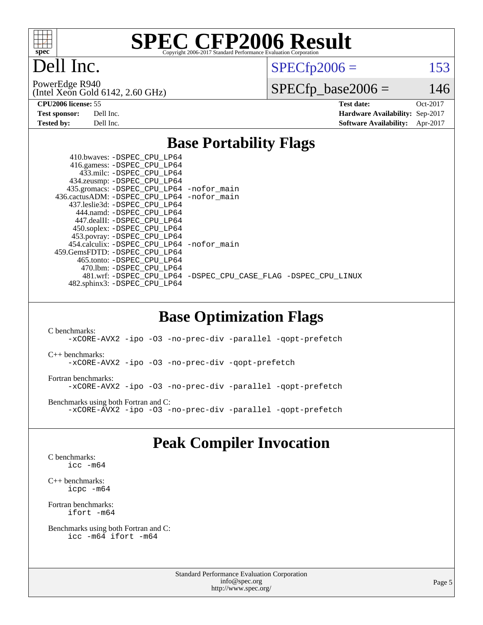

## Dell Inc.

 $SPECTp2006 = 153$ 

(Intel Xeon Gold 6142, 2.60 GHz) PowerEdge R940

 $SPECfp\_base2006 = 146$ 

**[CPU2006 license:](http://www.spec.org/auto/cpu2006/Docs/result-fields.html#CPU2006license)** 55 **[Test date:](http://www.spec.org/auto/cpu2006/Docs/result-fields.html#Testdate)** Oct-2017 **[Test sponsor:](http://www.spec.org/auto/cpu2006/Docs/result-fields.html#Testsponsor)** Dell Inc. **[Hardware Availability:](http://www.spec.org/auto/cpu2006/Docs/result-fields.html#HardwareAvailability)** Sep-2017 **[Tested by:](http://www.spec.org/auto/cpu2006/Docs/result-fields.html#Testedby)** Dell Inc. **[Software Availability:](http://www.spec.org/auto/cpu2006/Docs/result-fields.html#SoftwareAvailability)** Apr-2017

### **[Base Portability Flags](http://www.spec.org/auto/cpu2006/Docs/result-fields.html#BasePortabilityFlags)**

|  | 410.bwaves: -DSPEC CPU LP64<br>416.gamess: -DSPEC_CPU_LP64 |                                                                |
|--|------------------------------------------------------------|----------------------------------------------------------------|
|  | 433.milc: -DSPEC CPU LP64                                  |                                                                |
|  | 434.zeusmp: -DSPEC_CPU_LP64                                |                                                                |
|  | 435.gromacs: -DSPEC_CPU_LP64 -nofor_main                   |                                                                |
|  | 436.cactusADM: - DSPEC CPU LP64 - nofor main               |                                                                |
|  | 437.leslie3d: -DSPEC CPU LP64                              |                                                                |
|  | 444.namd: - DSPEC CPU LP64                                 |                                                                |
|  | 447.dealII: -DSPEC_CPU LP64                                |                                                                |
|  | 450.soplex: -DSPEC_CPU_LP64                                |                                                                |
|  | 453.povray: -DSPEC_CPU_LP64                                |                                                                |
|  | 454.calculix: - DSPEC CPU LP64 - nofor main                |                                                                |
|  | 459. GemsFDTD: - DSPEC CPU LP64                            |                                                                |
|  | 465.tonto: - DSPEC CPU LP64                                |                                                                |
|  | 470.1bm: - DSPEC CPU LP64                                  |                                                                |
|  |                                                            | 481.wrf: -DSPEC_CPU_LP64 -DSPEC_CPU_CASE_FLAG -DSPEC_CPU_LINUX |
|  | 482.sphinx3: -DSPEC CPU LP64                               |                                                                |
|  |                                                            |                                                                |

### **[Base Optimization Flags](http://www.spec.org/auto/cpu2006/Docs/result-fields.html#BaseOptimizationFlags)**

[C benchmarks](http://www.spec.org/auto/cpu2006/Docs/result-fields.html#Cbenchmarks): [-xCORE-AVX2](http://www.spec.org/cpu2006/results/res2017q4/cpu2006-20171114-50521.flags.html#user_CCbase_f-xCORE-AVX2) [-ipo](http://www.spec.org/cpu2006/results/res2017q4/cpu2006-20171114-50521.flags.html#user_CCbase_f-ipo) [-O3](http://www.spec.org/cpu2006/results/res2017q4/cpu2006-20171114-50521.flags.html#user_CCbase_f-O3) [-no-prec-div](http://www.spec.org/cpu2006/results/res2017q4/cpu2006-20171114-50521.flags.html#user_CCbase_f-no-prec-div) [-parallel](http://www.spec.org/cpu2006/results/res2017q4/cpu2006-20171114-50521.flags.html#user_CCbase_f-parallel) [-qopt-prefetch](http://www.spec.org/cpu2006/results/res2017q4/cpu2006-20171114-50521.flags.html#user_CCbase_f-qopt-prefetch) [C++ benchmarks:](http://www.spec.org/auto/cpu2006/Docs/result-fields.html#CXXbenchmarks) [-xCORE-AVX2](http://www.spec.org/cpu2006/results/res2017q4/cpu2006-20171114-50521.flags.html#user_CXXbase_f-xCORE-AVX2) [-ipo](http://www.spec.org/cpu2006/results/res2017q4/cpu2006-20171114-50521.flags.html#user_CXXbase_f-ipo) [-O3](http://www.spec.org/cpu2006/results/res2017q4/cpu2006-20171114-50521.flags.html#user_CXXbase_f-O3) [-no-prec-div](http://www.spec.org/cpu2006/results/res2017q4/cpu2006-20171114-50521.flags.html#user_CXXbase_f-no-prec-div) [-qopt-prefetch](http://www.spec.org/cpu2006/results/res2017q4/cpu2006-20171114-50521.flags.html#user_CXXbase_f-qopt-prefetch) [Fortran benchmarks](http://www.spec.org/auto/cpu2006/Docs/result-fields.html#Fortranbenchmarks): [-xCORE-AVX2](http://www.spec.org/cpu2006/results/res2017q4/cpu2006-20171114-50521.flags.html#user_FCbase_f-xCORE-AVX2) [-ipo](http://www.spec.org/cpu2006/results/res2017q4/cpu2006-20171114-50521.flags.html#user_FCbase_f-ipo) [-O3](http://www.spec.org/cpu2006/results/res2017q4/cpu2006-20171114-50521.flags.html#user_FCbase_f-O3) [-no-prec-div](http://www.spec.org/cpu2006/results/res2017q4/cpu2006-20171114-50521.flags.html#user_FCbase_f-no-prec-div) [-parallel](http://www.spec.org/cpu2006/results/res2017q4/cpu2006-20171114-50521.flags.html#user_FCbase_f-parallel) [-qopt-prefetch](http://www.spec.org/cpu2006/results/res2017q4/cpu2006-20171114-50521.flags.html#user_FCbase_f-qopt-prefetch) [Benchmarks using both Fortran and C](http://www.spec.org/auto/cpu2006/Docs/result-fields.html#BenchmarksusingbothFortranandC): [-xCORE-AVX2](http://www.spec.org/cpu2006/results/res2017q4/cpu2006-20171114-50521.flags.html#user_CC_FCbase_f-xCORE-AVX2) [-ipo](http://www.spec.org/cpu2006/results/res2017q4/cpu2006-20171114-50521.flags.html#user_CC_FCbase_f-ipo) [-O3](http://www.spec.org/cpu2006/results/res2017q4/cpu2006-20171114-50521.flags.html#user_CC_FCbase_f-O3) [-no-prec-div](http://www.spec.org/cpu2006/results/res2017q4/cpu2006-20171114-50521.flags.html#user_CC_FCbase_f-no-prec-div) [-parallel](http://www.spec.org/cpu2006/results/res2017q4/cpu2006-20171114-50521.flags.html#user_CC_FCbase_f-parallel) [-qopt-prefetch](http://www.spec.org/cpu2006/results/res2017q4/cpu2006-20171114-50521.flags.html#user_CC_FCbase_f-qopt-prefetch)

## **[Peak Compiler Invocation](http://www.spec.org/auto/cpu2006/Docs/result-fields.html#PeakCompilerInvocation)**

[C benchmarks](http://www.spec.org/auto/cpu2006/Docs/result-fields.html#Cbenchmarks): [icc -m64](http://www.spec.org/cpu2006/results/res2017q4/cpu2006-20171114-50521.flags.html#user_CCpeak_intel_icc_64bit_bda6cc9af1fdbb0edc3795bac97ada53)

[C++ benchmarks:](http://www.spec.org/auto/cpu2006/Docs/result-fields.html#CXXbenchmarks) [icpc -m64](http://www.spec.org/cpu2006/results/res2017q4/cpu2006-20171114-50521.flags.html#user_CXXpeak_intel_icpc_64bit_fc66a5337ce925472a5c54ad6a0de310)

[Fortran benchmarks](http://www.spec.org/auto/cpu2006/Docs/result-fields.html#Fortranbenchmarks): [ifort -m64](http://www.spec.org/cpu2006/results/res2017q4/cpu2006-20171114-50521.flags.html#user_FCpeak_intel_ifort_64bit_ee9d0fb25645d0210d97eb0527dcc06e)

[Benchmarks using both Fortran and C](http://www.spec.org/auto/cpu2006/Docs/result-fields.html#BenchmarksusingbothFortranandC): [icc -m64](http://www.spec.org/cpu2006/results/res2017q4/cpu2006-20171114-50521.flags.html#user_CC_FCpeak_intel_icc_64bit_bda6cc9af1fdbb0edc3795bac97ada53) [ifort -m64](http://www.spec.org/cpu2006/results/res2017q4/cpu2006-20171114-50521.flags.html#user_CC_FCpeak_intel_ifort_64bit_ee9d0fb25645d0210d97eb0527dcc06e)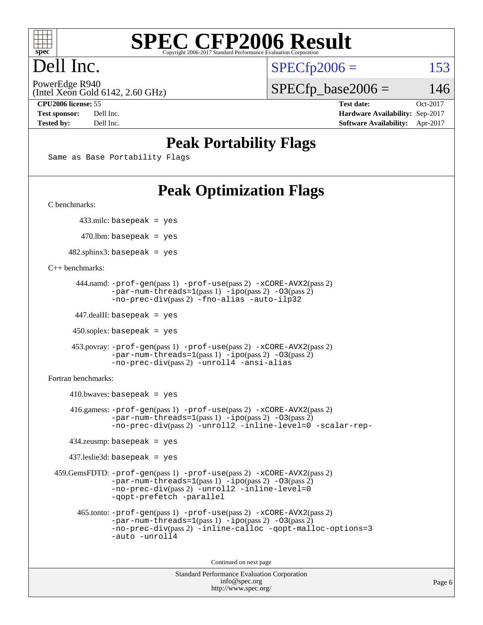

## Dell Inc.

 $SPECTp2006 = 153$ 

(Intel Xeon Gold 6142, 2.60 GHz) PowerEdge R940

 $SPECTp\_base2006 = 146$ 

**[CPU2006 license:](http://www.spec.org/auto/cpu2006/Docs/result-fields.html#CPU2006license)** 55 **[Test date:](http://www.spec.org/auto/cpu2006/Docs/result-fields.html#Testdate)** Oct-2017 **[Test sponsor:](http://www.spec.org/auto/cpu2006/Docs/result-fields.html#Testsponsor)** Dell Inc. **[Hardware Availability:](http://www.spec.org/auto/cpu2006/Docs/result-fields.html#HardwareAvailability)** Sep-2017 **[Tested by:](http://www.spec.org/auto/cpu2006/Docs/result-fields.html#Testedby)** Dell Inc. **[Software Availability:](http://www.spec.org/auto/cpu2006/Docs/result-fields.html#SoftwareAvailability)** Apr-2017

## **[Peak Portability Flags](http://www.spec.org/auto/cpu2006/Docs/result-fields.html#PeakPortabilityFlags)**

Same as Base Portability Flags

## **[Peak Optimization Flags](http://www.spec.org/auto/cpu2006/Docs/result-fields.html#PeakOptimizationFlags)**

[C benchmarks](http://www.spec.org/auto/cpu2006/Docs/result-fields.html#Cbenchmarks):

433.milc: basepeak = yes

 $470.$ lbm: basepeak = yes

 $482$ .sphinx3: basepeak = yes

[C++ benchmarks:](http://www.spec.org/auto/cpu2006/Docs/result-fields.html#CXXbenchmarks)

```
 444.namd: -prof-gen(pass 1) -prof-use(pass 2) -xCORE-AVX2(pass 2)
      -par-num-threads=1-ipo-O3(pass 2)-no-prec-div(pass 2) -fno-alias -auto-ilp32
```
447.dealII: basepeak = yes

 $450$ .soplex: basepeak = yes

```
 453.povray: -prof-gen(pass 1) -prof-use(pass 2) -xCORE-AVX2(pass 2)
        -par-num-threads=1-ipo-O3(pass 2)-no-prec-div(pass 2) -unroll4 -ansi-alias
```
[Fortran benchmarks](http://www.spec.org/auto/cpu2006/Docs/result-fields.html#Fortranbenchmarks):

```
410.bwaves: basepeak = yes 416.gamess: -prof-gen(pass 1) -prof-use(pass 2) -xCORE-AVX2(pass 2)
           -par-num-threads=1-ipo-O3(pass 2)-no-prec-div(pass 2) -unroll2 -inline-level=0 -scalar-rep-
   434.zeusmp: basepeak = yes
  437.leslie3d: basepeak = yes
459.GemsFDTD: -prof-gen(pass 1) -prof-use(pass 2) -xCORE-AVX2(pass 2)
           -par-num-threads=1-ipo-O3(pass 2)-no-prec-div(pass 2) -unroll2 -inline-level=0
           -qopt-prefetch -parallel
    465.tonto: -prof-gen(pass 1) -prof-use(pass 2) -xCORE-AVX2(pass 2)
           -par-num-threads=1-ipo-O3(pass 2)-no-prec-div-inline-calloc-qopt-malloc-options=3
           -auto -unroll4
```
Continued on next page

```
Standard Performance Evaluation Corporation
            info@spec.org
          http://www.spec.org/
```